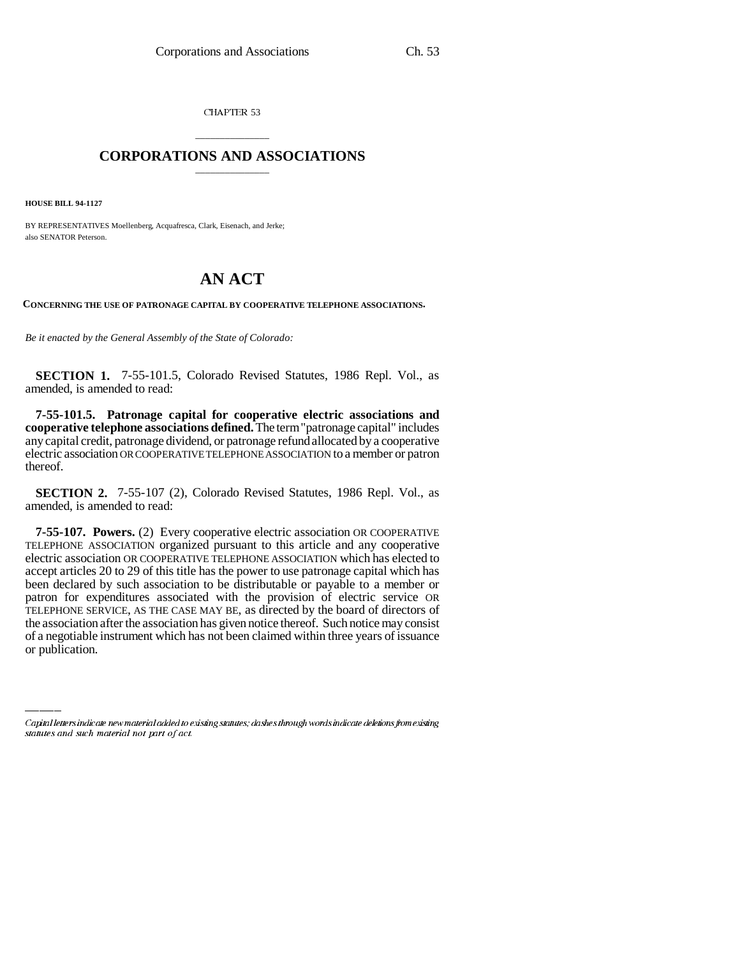CHAPTER 53

## \_\_\_\_\_\_\_\_\_\_\_\_\_\_\_ **CORPORATIONS AND ASSOCIATIONS** \_\_\_\_\_\_\_\_\_\_\_\_\_\_\_

**HOUSE BILL 94-1127**

BY REPRESENTATIVES Moellenberg, Acquafresca, Clark, Eisenach, and Jerke; also SENATOR Peterson.

## **AN ACT**

**CONCERNING THE USE OF PATRONAGE CAPITAL BY COOPERATIVE TELEPHONE ASSOCIATIONS.**

*Be it enacted by the General Assembly of the State of Colorado:*

**SECTION 1.** 7-55-101.5, Colorado Revised Statutes, 1986 Repl. Vol., as amended, is amended to read:

**7-55-101.5. Patronage capital for cooperative electric associations and cooperative telephone associations defined.** The term "patronage capital" includes any capital credit, patronage dividend, or patronage refund allocated by a cooperative electric association OR COOPERATIVE TELEPHONE ASSOCIATION to a member or patron thereof.

**SECTION 2.** 7-55-107 (2), Colorado Revised Statutes, 1986 Repl. Vol., as amended, is amended to read:

the association after the association has given notice thereof. Such notice may consist **7-55-107. Powers.** (2) Every cooperative electric association OR COOPERATIVE TELEPHONE ASSOCIATION organized pursuant to this article and any cooperative electric association OR COOPERATIVE TELEPHONE ASSOCIATION which has elected to accept articles 20 to 29 of this title has the power to use patronage capital which has been declared by such association to be distributable or payable to a member or patron for expenditures associated with the provision of electric service OR TELEPHONE SERVICE, AS THE CASE MAY BE, as directed by the board of directors of of a negotiable instrument which has not been claimed within three years of issuance or publication.

Capital letters indicate new material added to existing statutes; dashes through words indicate deletions from existing statutes and such material not part of act.